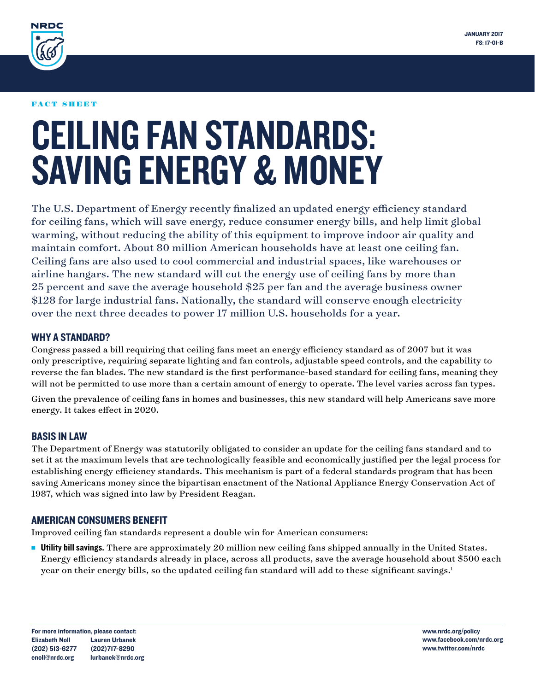

#### FACT SHEET

# CEILING FAN STANDARDS: SAVING ENERGY & MONEY

The U.S. Department of Energy recently finalized an updated energy efficiency standard for ceiling fans, which will save energy, reduce consumer energy bills, and help limit global warming, without reducing the ability of this equipment to improve indoor air quality and maintain comfort. About 80 million American households have at least one ceiling fan. Ceiling fans are also used to cool commercial and industrial spaces, like warehouses or airline hangars. The new standard will cut the energy use of ceiling fans by more than 25 percent and save the average household \$25 per fan and the average business owner \$128 for large industrial fans. Nationally, the standard will conserve enough electricity over the next three decades to power 17 million U.S. households for a year.

## WHY A STANDARD?

Congress passed a bill requiring that ceiling fans meet an energy efficiency standard as of 2007 but it was only prescriptive, requiring separate lighting and fan controls, adjustable speed controls, and the capability to reverse the fan blades. The new standard is the first performance-based standard for ceiling fans, meaning they will not be permitted to use more than a certain amount of energy to operate. The level varies across fan types.

Given the prevalence of ceiling fans in homes and businesses, this new standard will help Americans save more energy. It takes effect in 2020.

### BASIS IN LAW

The Department of Energy was statutorily obligated to consider an update for the ceiling fans standard and to set it at the maximum levels that are technologically feasible and economically justified per the legal process for establishing energy efficiency standards. This mechanism is part of a federal standards program that has been saving Americans money since the bipartisan enactment of the National Appliance Energy Conservation Act of 1987, which was signed into law by President Reagan.

### AMERICAN CONSUMERS BENEFIT

Improved ceiling fan standards represent a double win for American consumers:

**Utility bill savings.** There are approximately 20 million new ceiling fans shipped annually in the United States. Energy efficiency standards already in place, across all products, save the average household about \$500 each year on their energy bills, so the updated ceiling fan standard will add to these significant savings.1